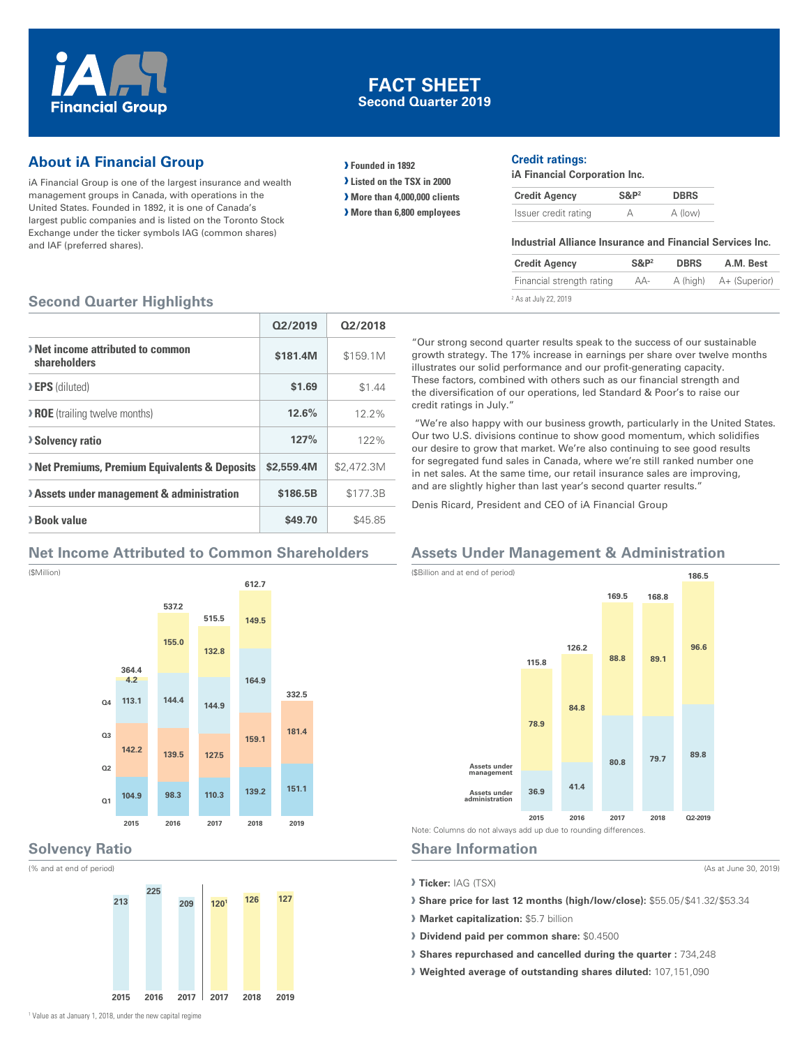

## **FACT SHEET Second Quarter 2019**

# **About iA Financial Group**

iA Financial Group is one of the largest insurance and wealth management groups in Canada, with operations in the United States. Founded in 1892, it is one of Canada's largest public companies and is listed on the Toronto Stock Exchange under the ticker symbols IAG (common shares) and IAF (preferred shares).

- **› Founded in 1892**
- **› Listed on the TSX in 2000**
- **› More than 4,000,000 clients**
- **› More than 6,800 employees**

#### **Credit ratings:**

**iA Financial Corporation Inc.**

| <b>Credit Agency</b> | $S\&P2$ | <b>DBRS</b> |
|----------------------|---------|-------------|
| Issuer credit rating |         | A (low)     |

#### **Industrial Alliance Insurance and Financial Services Inc.**

| <b>Credit Agency</b>             | $S\&P2$ | <b>DBRS</b> | A.M. Best     |
|----------------------------------|---------|-------------|---------------|
| Financial strength rating        | AA-     | A (high)    | A+ (Superior) |
| <sup>2</sup> As at July 22, 2019 |         |             |               |

## **Second Quarter Highlights**

|                                                         | 02/2019    | 02/2018    |
|---------------------------------------------------------|------------|------------|
| > Net income attributed to common<br>shareholders       | \$181.4M   | \$159.1M   |
| <b>EPS</b> (diluted)                                    | \$1.69     | \$1.44     |
| <b>&gt; ROE</b> (trailing twelve months)                | 12.6%      | $12.2\%$   |
| <b>&gt;Solvency ratio</b>                               | 127%       | 122%       |
| <b>Net Premiums, Premium Equivalents &amp; Deposits</b> | \$2,559.4M | \$2,472.3M |
| > Assets under management & administration              | \$186.5B   | \$177.3B   |
| > Book value                                            | \$49.70    | \$45.85    |

## **Net Income Attributed to Common Shareholders**





#### **Solvency Ratio**

(% and at end of period)



"Our strong second quarter results speak to the success of our sustainable growth strategy. The 17% increase in earnings per share over twelve months illustrates our solid performance and our profit-generating capacity. These factors, combined with others such as our financial strength and the diversification of our operations, led Standard & Poor's to raise our

 "We're also happy with our business growth, particularly in the United States. Our two U.S. divisions continue to show good momentum, which solidifies our desire to grow that market. We're also continuing to see good results for segregated fund sales in Canada, where we're still ranked number one in net sales. At the same time, our retail insurance sales are improving, and are slightly higher than last year's second quarter results."

Denis Ricard, President and CEO of iA Financial Group

# **Assets Under Management & Administration**



## **Share Information**

credit ratings in July."

**› Ticker:** IAG (TSX)

**› Share price for last 12 months (high/low/close):** \$55.05 / \$41.32/ \$53.34

(As at June 30, 2019)

- **› Market capitalization:** \$5.7 billion
- **› Dividend paid per common share:** \$0.4500
- **› Shares repurchased and cancelled during the quarter :** 734,248
- **› Weighted average of outstanding shares diluted:** 107,151,090